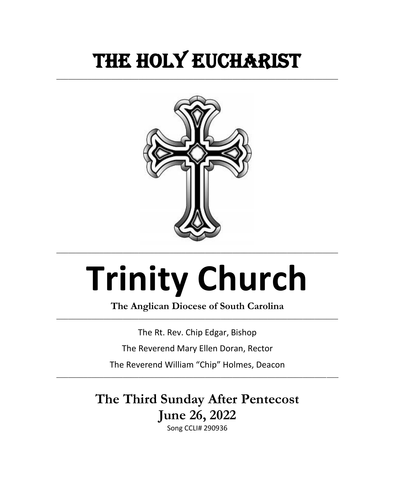# THE HOLY EUCHARIST

**\_\_\_\_\_\_\_\_\_\_\_\_\_\_\_\_\_\_\_\_\_\_\_\_\_\_\_\_\_\_\_\_\_\_\_\_\_\_\_\_\_\_\_\_\_\_\_\_\_\_\_\_\_\_\_\_\_\_\_\_\_\_\_\_\_\_\_\_\_\_\_\_**



# **Trinity Church**

**The Anglican Diocese of South Carolina \_\_\_\_\_\_\_\_\_\_\_\_\_\_\_\_\_\_\_\_\_\_\_\_\_\_\_\_\_\_\_\_\_\_\_\_\_\_\_\_\_\_\_\_\_\_\_\_\_\_\_\_\_\_\_\_\_\_\_\_\_\_\_\_\_\_\_\_\_\_\_\_**

The Rt. Rev. Chip Edgar, Bishop

The Reverend Mary Ellen Doran, Rector

The Reverend William "Chip" Holmes, Deacon **\_\_\_\_\_\_\_\_\_\_\_\_\_\_\_\_\_\_\_\_\_\_\_\_\_\_\_\_\_\_\_\_\_\_\_\_\_\_\_\_\_\_\_\_\_\_\_\_\_\_\_\_\_\_\_\_\_\_\_\_\_\_\_\_\_\_\_\_\_\_\_\_**

> **The Third Sunday After Pentecost June 26, 2022**

Song CCLI# 290936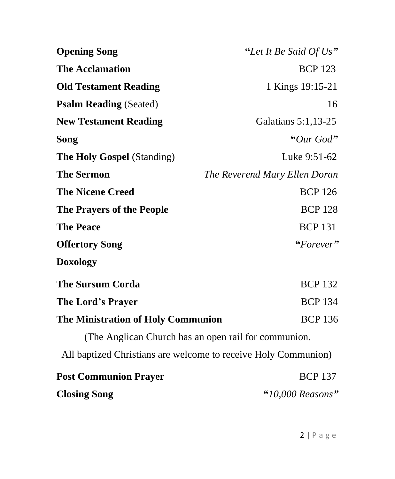| <b>Opening Song</b>                                            | "Let It Be Said Of Us"        |
|----------------------------------------------------------------|-------------------------------|
| <b>The Acclamation</b>                                         | <b>BCP 123</b>                |
| <b>Old Testament Reading</b>                                   | 1 Kings 19:15-21              |
| <b>Psalm Reading (Seated)</b>                                  | 16                            |
| <b>New Testament Reading</b>                                   | Galatians 5:1,13-25           |
| Song                                                           | "Our God"                     |
| <b>The Holy Gospel (Standing)</b>                              | Luke 9:51-62                  |
| <b>The Sermon</b>                                              | The Reverend Mary Ellen Doran |
| <b>The Nicene Creed</b>                                        | <b>BCP 126</b>                |
| <b>The Prayers of the People</b>                               | <b>BCP 128</b>                |
| <b>The Peace</b>                                               | <b>BCP 131</b>                |
| <b>Offertory Song</b>                                          | "Forever"                     |
| <b>Doxology</b>                                                |                               |
| <b>The Sursum Corda</b>                                        | <b>BCP 132</b>                |
| The Lord's Prayer                                              | <b>BCP 134</b>                |
| The Ministration of Holy Communion                             | <b>BCP 136</b>                |
| (The Anglican Church has an open rail for communion.           |                               |
| All baptized Christians are welcome to receive Holy Communion) |                               |
| <b>Post Communion Prayer</b>                                   | <b>BCP 137</b>                |
| <b>Closing Song</b>                                            | "10,000 Reasons"              |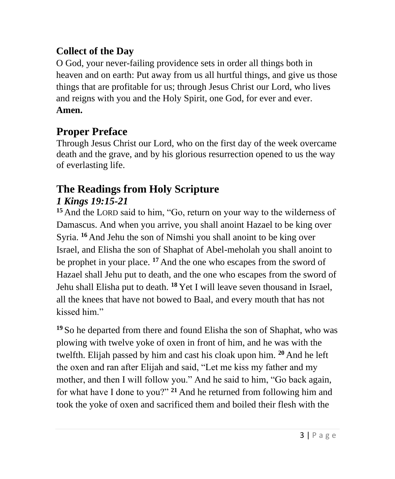## **Collect of the Day**

O God, your never-failing providence sets in order all things both in heaven and on earth: Put away from us all hurtful things, and give us those things that are profitable for us; through Jesus Christ our Lord, who lives and reigns with you and the Holy Spirit, one God, for ever and ever. **Amen.**

## **Proper Preface**

Through Jesus Christ our Lord, who on the first day of the week overcame death and the grave, and by his glorious resurrection opened to us the way of everlasting life.

#### **The Readings from Holy Scripture** *1 Kings 19:15-21*

**<sup>15</sup>** And the LORD said to him, "Go, return on your way to the wilderness of Damascus. And when you arrive, you shall anoint Hazael to be king over Syria. **<sup>16</sup>** And Jehu the son of Nimshi you shall anoint to be king over Israel, and Elisha the son of Shaphat of Abel-meholah you shall anoint to be prophet in your place. **<sup>17</sup>** And the one who escapes from the sword of Hazael shall Jehu put to death, and the one who escapes from the sword of Jehu shall Elisha put to death. **<sup>18</sup>** Yet I will leave seven thousand in Israel, all the knees that have not bowed to Baal, and every mouth that has not kissed him."

**<sup>19</sup>** So he departed from there and found Elisha the son of Shaphat, who was plowing with twelve yoke of oxen in front of him, and he was with the twelfth. Elijah passed by him and cast his cloak upon him. **<sup>20</sup>** And he left the oxen and ran after Elijah and said, "Let me kiss my father and my mother, and then I will follow you." And he said to him, "Go back again, for what have I done to you?" **<sup>21</sup>** And he returned from following him and took the yoke of oxen and sacrificed them and boiled their flesh with the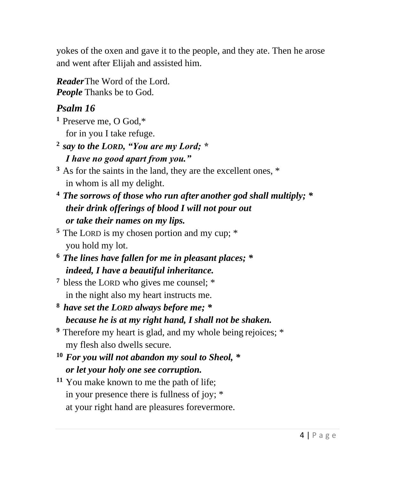yokes of the oxen and gave it to the people, and they ate. Then he arose and went after Elijah and assisted him.

*Reader*The Word of the Lord. *People* Thanks be to God.

#### *Psalm 16*

**<sup>1</sup>** Preserve me, O God,\* for in you I take refuge.

- **2** *say to the LORD, "You are my Lord; \* I have no good apart from you."*
- **<sup>3</sup>** As for the saints in the land, they are the excellent ones, \* in whom is all my delight.
- **<sup>4</sup>** *The sorrows of those who run after another god shall multiply; \* their drink offerings of blood I will not pour out or take their names on my lips.*
- **<sup>5</sup>**The LORD is my chosen portion and my cup; \* you hold my lot.
- **<sup>6</sup>** *The lines have fallen for me in pleasant places; \* indeed, I have a beautiful inheritance.*
- **<sup>7</sup>** bless the LORD who gives me counsel; \* in the night also my heart instructs me.
- **<sup>8</sup>** *have set the LORD always before me; \* because he is at my right hand, I shall not be shaken.*
- **<sup>9</sup>** Therefore my heart is glad, and my whole being rejoices; \* my flesh also dwells secure.
- **<sup>10</sup>** *For you will not abandon my soul to Sheol, \* or let your holy one see corruption.*
- **<sup>11</sup>** You make known to me the path of life; in your presence there is fullness of joy; \* at your right hand are pleasures forevermore.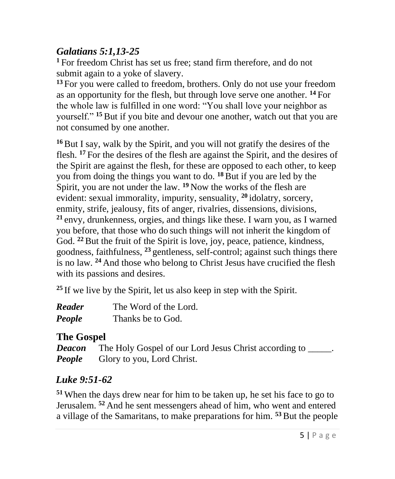## *Galatians 5:1,13-25*

**<sup>1</sup>**For freedom Christ has set us free; stand firm therefore, and do not submit again to a yoke of slavery.

**<sup>13</sup>** For you were called to freedom, brothers. Only do not use your freedom as an opportunity for the flesh, but through love serve one another. **<sup>14</sup>** For the whole law is fulfilled in one word: "You shall love your neighbor as yourself." **<sup>15</sup>** But if you bite and devour one another, watch out that you are not consumed by one another.

**<sup>16</sup>**But I say, walk by the Spirit, and you will not gratify the desires of the flesh. **<sup>17</sup>** For the desires of the flesh are against the Spirit, and the desires of the Spirit are against the flesh, for these are opposed to each other, to keep you from doing the things you want to do. **<sup>18</sup>**But if you are led by the Spirit, you are not under the law. **<sup>19</sup>** Now the works of the flesh are evident: sexual immorality, impurity, sensuality, **<sup>20</sup>** idolatry, sorcery, enmity, strife, jealousy, fits of anger, rivalries, dissensions, divisions, **<sup>21</sup>** envy, drunkenness, orgies, and things like these. I warn you, as I warned you before, that those who do such things will not inherit the kingdom of God. <sup>22</sup> But the fruit of the Spirit is love, joy, peace, patience, kindness, goodness, faithfulness, **<sup>23</sup>** gentleness, self-control; against such things there is no law. **<sup>24</sup>** And those who belong to Christ Jesus have crucified the flesh with its passions and desires.

**<sup>25</sup>** If we live by the Spirit, let us also keep in step with the Spirit.

| <b>Reader</b> | The Word of the Lord. |
|---------------|-----------------------|
| People        | Thanks be to God.     |

#### **The Gospel**

*Deacon* The Holy Gospel of our Lord Jesus Christ according to  $\blacksquare$ . *People* Glory to you, Lord Christ.

## *Luke 9:51-62*

**<sup>51</sup>** When the days drew near for him to be taken up, he set his face to go to Jerusalem. **<sup>52</sup>** And he sent messengers ahead of him, who went and entered a village of the Samaritans, to make preparations for him. **53**But the people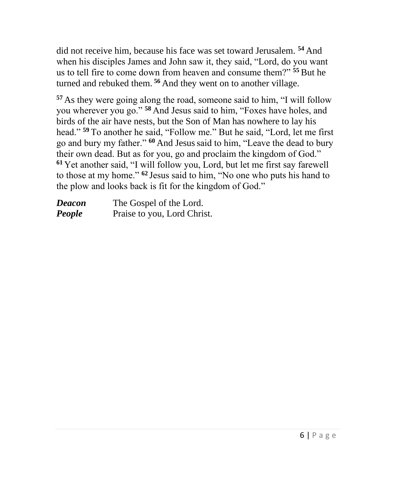did not receive him, because his face was set toward Jerusalem. **<sup>54</sup>** And when his disciples James and John saw it, they said, "Lord, do you want us to tell fire to come down from heaven and consume them?" **<sup>55</sup>** But he turned and rebuked them. **<sup>56</sup>** And they went on to another village.

**<sup>57</sup>** As they were going along the road, someone said to him, "I will follow you wherever you go." **<sup>58</sup>** And Jesus said to him, "Foxes have holes, and birds of the air have nests, but the Son of Man has nowhere to lay his head." **<sup>59</sup>** To another he said, "Follow me." But he said, "Lord, let me first go and bury my father." **<sup>60</sup>** And Jesussaid to him, "Leave the dead to bury their own dead. But as for you, go and proclaim the kingdom of God." **<sup>61</sup>** Yet another said, "I will follow you, Lord, but let me first say farewell to those at my home." **<sup>62</sup>** Jesus said to him, "No one who puts his hand to the plow and looks back is fit for the kingdom of God."

| <b>Deacon</b> | The Gospel of the Lord.     |
|---------------|-----------------------------|
| People        | Praise to you, Lord Christ. |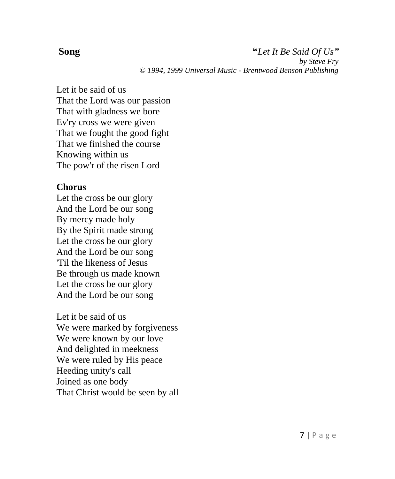#### **Song "***Let It Be Said Of Us" by Steve Fry © 1994, 1999 Universal Music - Brentwood Benson Publishing*

Let it be said of us That the Lord was our passion That with gladness we bore Ev'ry cross we were given That we fought the good fight That we finished the course Knowing within us The pow'r of the risen Lord

#### **Chorus**

Let the cross be our glory And the Lord be our song By mercy made holy By the Spirit made strong Let the cross be our glory And the Lord be our song 'Til the likeness of Jesus Be through us made known Let the cross be our glory And the Lord be our song

Let it be said of us We were marked by forgiveness We were known by our love And delighted in meekness We were ruled by His peace Heeding unity's call Joined as one body That Christ would be seen by all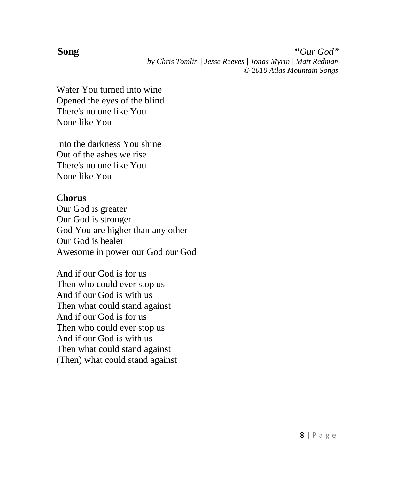**Song "***Our God" by Chris Tomlin | Jesse Reeves | Jonas Myrin | Matt Redman © 2010 Atlas Mountain Songs*

Water You turned into wine Opened the eyes of the blind There's no one like You None like You

Into the darkness You shine Out of the ashes we rise There's no one like You None like You

#### **Chorus**

Our God is greater Our God is stronger God You are higher than any other Our God is healer Awesome in power our God our God

And if our God is for us Then who could ever stop us And if our God is with us Then what could stand against And if our God is for us Then who could ever stop us And if our God is with us Then what could stand against (Then) what could stand against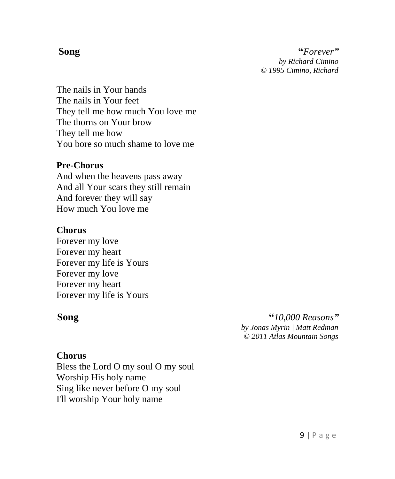**Song "***Forever" by Richard Cimino © 1995 Cimino, Richard*

The nails in Your hands The nails in Your feet They tell me how much You love me The thorns on Your brow They tell me how You bore so much shame to love me

#### **Pre-Chorus**

And when the heavens pass away And all Your scars they still remain And forever they will say How much You love me

#### **Chorus**

Forever my love Forever my heart Forever my life is Yours Forever my love Forever my heart Forever my life is Yours

**Song "***10,000 Reasons" by Jonas Myrin | Matt Redman © 2011 Atlas Mountain Songs*

#### **Chorus**

Bless the Lord O my soul O my soul Worship His holy name Sing like never before O my soul I'll worship Your holy name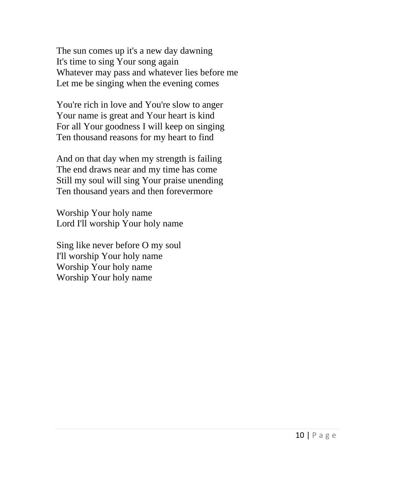The sun comes up it's a new day dawning It's time to sing Your song again Whatever may pass and whatever lies before me Let me be singing when the evening comes

You're rich in love and You're slow to anger Your name is great and Your heart is kind For all Your goodness I will keep on singing Ten thousand reasons for my heart to find

And on that day when my strength is failing The end draws near and my time has come Still my soul will sing Your praise unending Ten thousand years and then forevermore

Worship Your holy name Lord I'll worship Your holy name

Sing like never before O my soul I'll worship Your holy name Worship Your holy name Worship Your holy name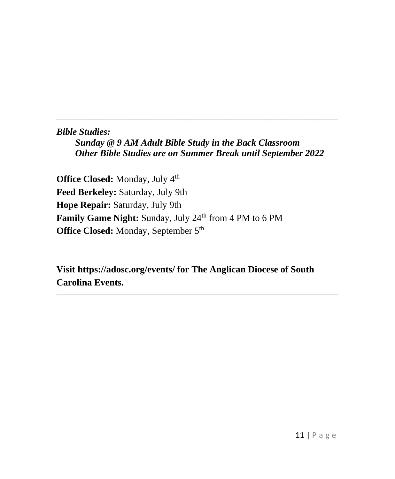*Bible Studies: Sunday @ 9 AM Adult Bible Study in the Back Classroom Other Bible Studies are on Summer Break until September 2022*

**\_\_\_\_\_\_\_\_\_\_\_\_\_\_\_\_\_\_\_\_\_\_\_\_\_\_\_\_\_\_\_\_\_\_\_\_\_\_\_\_\_\_\_\_\_\_\_\_\_\_\_\_\_\_\_\_\_\_\_\_\_\_\_\_\_\_\_\_\_\_\_\_**

**Office Closed:** Monday, July 4<sup>th</sup> **Feed Berkeley:** Saturday, July 9th **Hope Repair:** Saturday, July 9th **Family Game Night:** Sunday, July 24<sup>th</sup> from 4 PM to 6 PM **Office Closed:** Monday, September 5<sup>th</sup>

**Visit https://adosc.org/events/ for The Anglican Diocese of South Carolina Events.**

**\_\_\_\_\_\_\_\_\_\_\_\_\_\_\_\_\_\_\_\_\_\_\_\_\_\_\_\_\_\_\_\_\_\_\_\_\_\_\_\_\_\_\_\_\_\_\_\_\_\_\_\_\_\_\_\_\_\_\_\_\_\_\_\_\_\_\_\_\_\_\_\_**